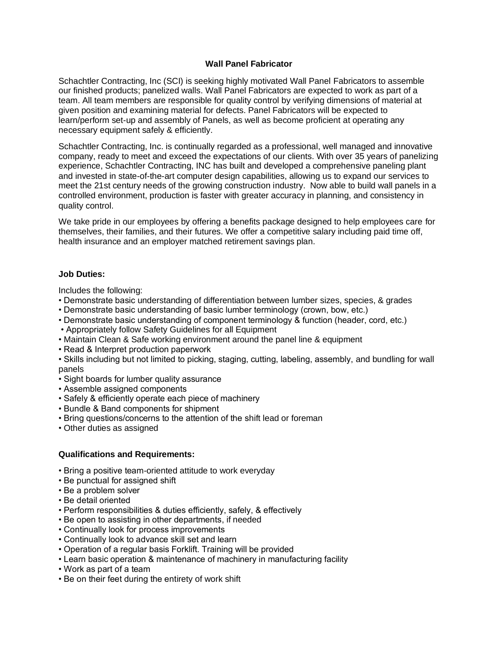## **Wall Panel Fabricator**

Schachtler Contracting, Inc (SCI) is seeking highly motivated Wall Panel Fabricators to assemble our finished products; panelized walls. Wall Panel Fabricators are expected to work as part of a team. All team members are responsible for quality control by verifying dimensions of material at given position and examining material for defects. Panel Fabricators will be expected to learn/perform set-up and assembly of Panels, as well as become proficient at operating any necessary equipment safely & efficiently.

Schachtler Contracting, Inc. is continually regarded as a professional, well managed and innovative company, ready to meet and exceed the expectations of our clients. With over 35 years of panelizing experience, Schachtler Contracting, INC has built and developed a comprehensive paneling plant and invested in state-of-the-art computer design capabilities, allowing us to expand our services to meet the 21st century needs of the growing construction industry. Now able to build wall panels in a controlled environment, production is faster with greater accuracy in planning, and consistency in quality control.

We take pride in our employees by offering a benefits package designed to help employees care for themselves, their families, and their futures. We offer a competitive salary including paid time off, health insurance and an employer matched retirement savings plan.

## **Job Duties:**

Includes the following:

- Demonstrate basic understanding of differentiation between lumber sizes, species, & grades
- Demonstrate basic understanding of basic lumber terminology (crown, bow, etc.)
- Demonstrate basic understanding of component terminology & function (header, cord, etc.)
- Appropriately follow Safety Guidelines for all Equipment
- Maintain Clean & Safe working environment around the panel line & equipment
- Read & Interpret production paperwork

• Skills including but not limited to picking, staging, cutting, labeling, assembly, and bundling for wall panels

- Sight boards for lumber quality assurance
- Assemble assigned components
- Safely & efficiently operate each piece of machinery
- Bundle & Band components for shipment
- Bring questions/concerns to the attention of the shift lead or foreman
- Other duties as assigned

## **Qualifications and Requirements:**

- Bring a positive team-oriented attitude to work everyday
- Be punctual for assigned shift
- Be a problem solver
- Be detail oriented
- Perform responsibilities & duties efficiently, safely, & effectively
- Be open to assisting in other departments, if needed
- Continually look for process improvements
- Continually look to advance skill set and learn
- Operation of a regular basis Forklift. Training will be provided
- Learn basic operation & maintenance of machinery in manufacturing facility
- Work as part of a team
- Be on their feet during the entirety of work shift